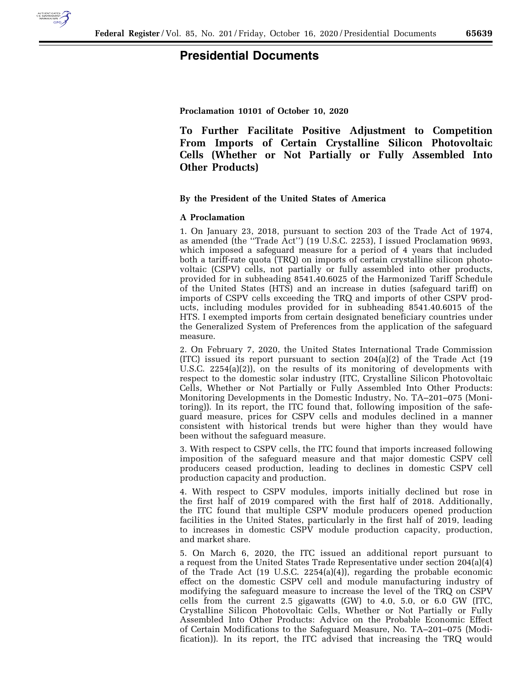

## **Presidential Documents**

**Proclamation 10101 of October 10, 2020** 

**To Further Facilitate Positive Adjustment to Competition From Imports of Certain Crystalline Silicon Photovoltaic Cells (Whether or Not Partially or Fully Assembled Into Other Products)** 

### **By the President of the United States of America**

#### **A Proclamation**

1. On January 23, 2018, pursuant to section 203 of the Trade Act of 1974, as amended (the ''Trade Act'') (19 U.S.C. 2253), I issued Proclamation 9693, which imposed a safeguard measure for a period of 4 years that included both a tariff-rate quota (TRQ) on imports of certain crystalline silicon photovoltaic (CSPV) cells, not partially or fully assembled into other products, provided for in subheading 8541.40.6025 of the Harmonized Tariff Schedule of the United States (HTS) and an increase in duties (safeguard tariff) on imports of CSPV cells exceeding the TRQ and imports of other CSPV products, including modules provided for in subheading 8541.40.6015 of the HTS. I exempted imports from certain designated beneficiary countries under the Generalized System of Preferences from the application of the safeguard measure.

2. On February 7, 2020, the United States International Trade Commission (ITC) issued its report pursuant to section 204(a)(2) of the Trade Act (19 U.S.C. 2254(a)(2)), on the results of its monitoring of developments with respect to the domestic solar industry (ITC, Crystalline Silicon Photovoltaic Cells, Whether or Not Partially or Fully Assembled Into Other Products: Monitoring Developments in the Domestic Industry, No. TA–201–075 (Monitoring)). In its report, the ITC found that, following imposition of the safeguard measure, prices for CSPV cells and modules declined in a manner consistent with historical trends but were higher than they would have been without the safeguard measure.

3. With respect to CSPV cells, the ITC found that imports increased following imposition of the safeguard measure and that major domestic CSPV cell producers ceased production, leading to declines in domestic CSPV cell production capacity and production.

4. With respect to CSPV modules, imports initially declined but rose in the first half of 2019 compared with the first half of 2018. Additionally, the ITC found that multiple CSPV module producers opened production facilities in the United States, particularly in the first half of 2019, leading to increases in domestic CSPV module production capacity, production, and market share.

5. On March 6, 2020, the ITC issued an additional report pursuant to a request from the United States Trade Representative under section 204(a)(4) of the Trade Act (19 U.S.C. 2254(a)(4)), regarding the probable economic effect on the domestic CSPV cell and module manufacturing industry of modifying the safeguard measure to increase the level of the TRQ on CSPV cells from the current 2.5 gigawatts (GW) to 4.0, 5.0, or 6.0 GW (ITC, Crystalline Silicon Photovoltaic Cells, Whether or Not Partially or Fully Assembled Into Other Products: Advice on the Probable Economic Effect of Certain Modifications to the Safeguard Measure, No. TA–201–075 (Modification)). In its report, the ITC advised that increasing the TRQ would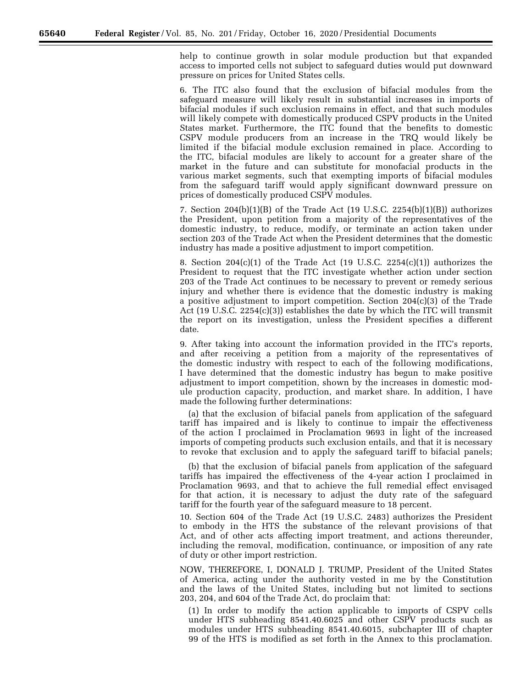help to continue growth in solar module production but that expanded access to imported cells not subject to safeguard duties would put downward pressure on prices for United States cells.

6. The ITC also found that the exclusion of bifacial modules from the safeguard measure will likely result in substantial increases in imports of bifacial modules if such exclusion remains in effect, and that such modules will likely compete with domestically produced CSPV products in the United States market. Furthermore, the ITC found that the benefits to domestic CSPV module producers from an increase in the TRQ would likely be limited if the bifacial module exclusion remained in place. According to the ITC, bifacial modules are likely to account for a greater share of the market in the future and can substitute for monofacial products in the various market segments, such that exempting imports of bifacial modules from the safeguard tariff would apply significant downward pressure on prices of domestically produced CSPV modules.

7. Section 204(b)(1)(B) of the Trade Act (19 U.S.C. 2254(b)(1)(B)) authorizes the President, upon petition from a majority of the representatives of the domestic industry, to reduce, modify, or terminate an action taken under section 203 of the Trade Act when the President determines that the domestic industry has made a positive adjustment to import competition.

8. Section 204 $(c)(1)$  of the Trade Act (19 U.S.C. 2254 $(c)(1)$ ) authorizes the President to request that the ITC investigate whether action under section 203 of the Trade Act continues to be necessary to prevent or remedy serious injury and whether there is evidence that the domestic industry is making a positive adjustment to import competition. Section 204(c)(3) of the Trade Act (19 U.S.C. 2254(c)(3)) establishes the date by which the ITC will transmit the report on its investigation, unless the President specifies a different date.

9. After taking into account the information provided in the ITC's reports, and after receiving a petition from a majority of the representatives of the domestic industry with respect to each of the following modifications, I have determined that the domestic industry has begun to make positive adjustment to import competition, shown by the increases in domestic module production capacity, production, and market share. In addition, I have made the following further determinations:

(a) that the exclusion of bifacial panels from application of the safeguard tariff has impaired and is likely to continue to impair the effectiveness of the action I proclaimed in Proclamation 9693 in light of the increased imports of competing products such exclusion entails, and that it is necessary to revoke that exclusion and to apply the safeguard tariff to bifacial panels;

(b) that the exclusion of bifacial panels from application of the safeguard tariffs has impaired the effectiveness of the 4-year action I proclaimed in Proclamation 9693, and that to achieve the full remedial effect envisaged for that action, it is necessary to adjust the duty rate of the safeguard tariff for the fourth year of the safeguard measure to 18 percent.

10. Section 604 of the Trade Act (19 U.S.C. 2483) authorizes the President to embody in the HTS the substance of the relevant provisions of that Act, and of other acts affecting import treatment, and actions thereunder, including the removal, modification, continuance, or imposition of any rate of duty or other import restriction.

NOW, THEREFORE, I, DONALD J. TRUMP, President of the United States of America, acting under the authority vested in me by the Constitution and the laws of the United States, including but not limited to sections 203, 204, and 604 of the Trade Act, do proclaim that:

(1) In order to modify the action applicable to imports of CSPV cells under HTS subheading 8541.40.6025 and other CSPV products such as modules under HTS subheading 8541.40.6015, subchapter III of chapter 99 of the HTS is modified as set forth in the Annex to this proclamation.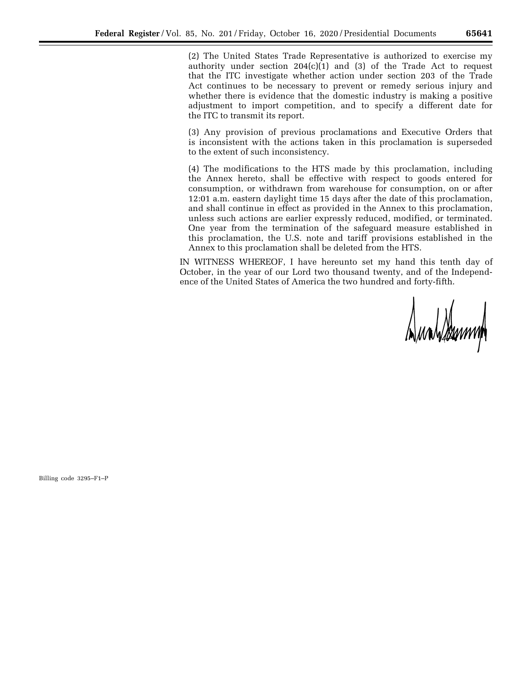(2) The United States Trade Representative is authorized to exercise my authority under section  $204(c)(1)$  and (3) of the Trade Act to request that the ITC investigate whether action under section 203 of the Trade Act continues to be necessary to prevent or remedy serious injury and whether there is evidence that the domestic industry is making a positive adjustment to import competition, and to specify a different date for the ITC to transmit its report.

(3) Any provision of previous proclamations and Executive Orders that is inconsistent with the actions taken in this proclamation is superseded to the extent of such inconsistency.

(4) The modifications to the HTS made by this proclamation, including the Annex hereto, shall be effective with respect to goods entered for consumption, or withdrawn from warehouse for consumption, on or after 12:01 a.m. eastern daylight time 15 days after the date of this proclamation, and shall continue in effect as provided in the Annex to this proclamation, unless such actions are earlier expressly reduced, modified, or terminated. One year from the termination of the safeguard measure established in this proclamation, the U.S. note and tariff provisions established in the Annex to this proclamation shall be deleted from the HTS.

IN WITNESS WHEREOF, I have hereunto set my hand this tenth day of October, in the year of our Lord two thousand twenty, and of the Independence of the United States of America the two hundred and forty-fifth.

Dunblemm

Billing code 3295–F1–P